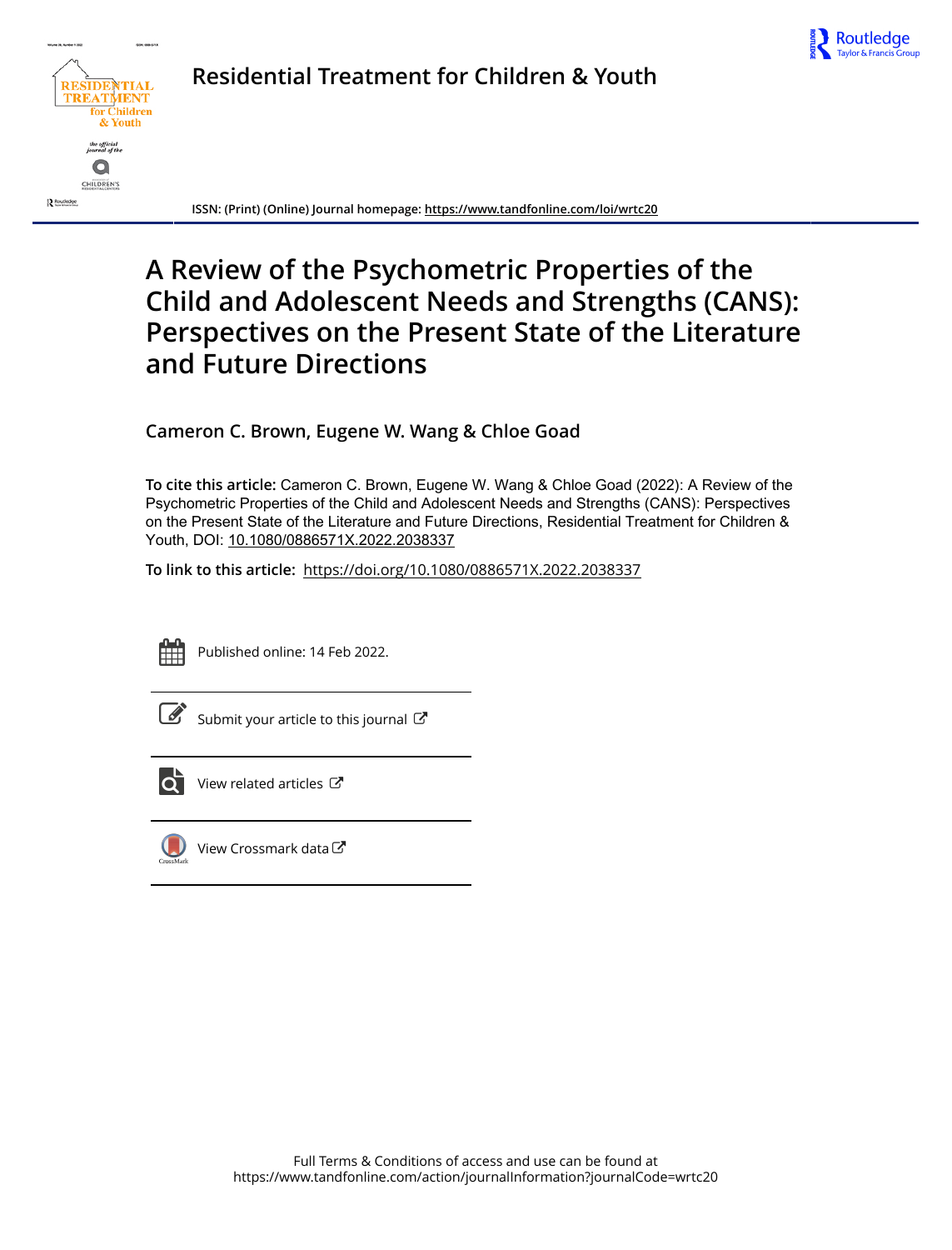



**Residential Treatment for Children & Youth**

**ISSN: (Print) (Online) Journal homepage:<https://www.tandfonline.com/loi/wrtc20>**

# **A Review of the Psychometric Properties of the Child and Adolescent Needs and Strengths (CANS): Perspectives on the Present State of the Literature and Future Directions**

**Cameron C. Brown, Eugene W. Wang & Chloe Goad**

**To cite this article:** Cameron C. Brown, Eugene W. Wang & Chloe Goad (2022): A Review of the Psychometric Properties of the Child and Adolescent Needs and Strengths (CANS): Perspectives on the Present State of the Literature and Future Directions, Residential Treatment for Children & Youth, DOI: [10.1080/0886571X.2022.2038337](https://www.tandfonline.com/action/showCitFormats?doi=10.1080/0886571X.2022.2038337)

**To link to this article:** <https://doi.org/10.1080/0886571X.2022.2038337>



Published online: 14 Feb 2022.



 $\overline{\mathscr{L}}$  [Submit your article to this journal](https://www.tandfonline.com/action/authorSubmission?journalCode=wrtc20&show=instructions)  $\mathbb{Z}$ 



View related articles



[View Crossmark data](http://crossmark.crossref.org/dialog/?doi=10.1080/0886571X.2022.2038337&domain=pdf&date_stamp=2022-02-14) $\mathbb{Z}$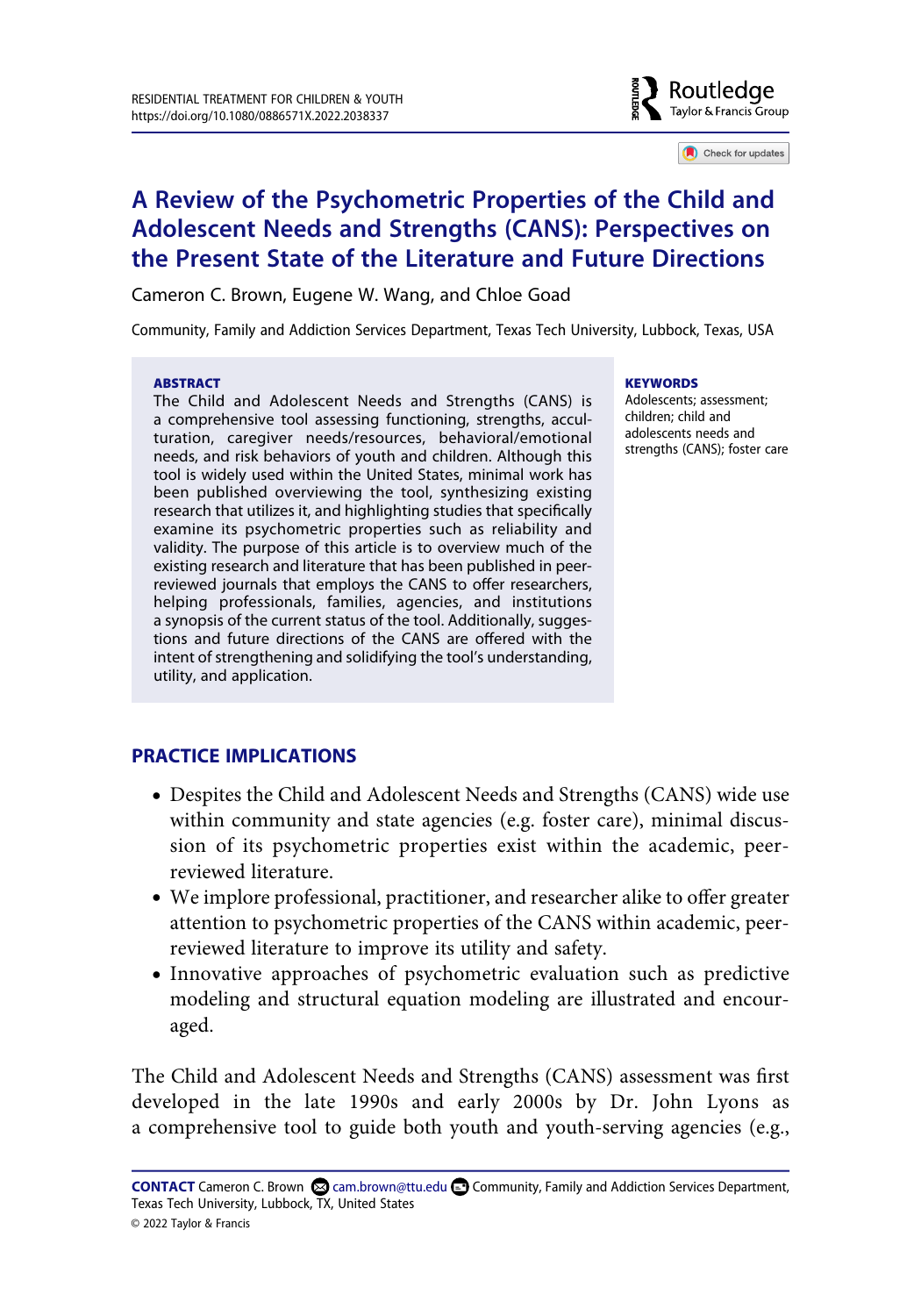

Check for updates

# **A Review of the Psychometric Properties of the Child and Adolescent Needs and Strengths (CANS): Perspectives on the Present State of the Literature and Future Directions**

Cameron C. Brown, Eugene W. Wang, and Chloe Goad

Community, Family and Addiction Services Department, Texas Tech University, Lubbock, Texas, USA

#### **ABSTRACT**

The Child and Adolescent Needs and Strengths (CANS) is a comprehensive tool assessing functioning, strengths, acculturation, caregiver needs/resources, behavioral/emotional needs, and risk behaviors of youth and children. Although this tool is widely used within the United States, minimal work has been published overviewing the tool, synthesizing existing research that utilizes it, and highlighting studies that specifically examine its psychometric properties such as reliability and validity. The purpose of this article is to overview much of the existing research and literature that has been published in peerreviewed journals that employs the CANS to offer researchers, helping professionals, families, agencies, and institutions a synopsis of the current status of the tool. Additionally, suggestions and future directions of the CANS are offered with the intent of strengthening and solidifying the tool's understanding, utility, and application.

#### **KEYWORDS**

Adolescents; assessment; children; child and adolescents needs and strengths (CANS); foster care

# **PRACTICE IMPLICATIONS**

- Despites the Child and Adolescent Needs and Strengths (CANS) wide use within community and state agencies (e.g. foster care), minimal discussion of its psychometric properties exist within the academic, peerreviewed literature.
- We implore professional, practitioner, and researcher alike to offer greater attention to psychometric properties of the CANS within academic, peerreviewed literature to improve its utility and safety.
- Innovative approaches of psychometric evaluation such as predictive modeling and structural equation modeling are illustrated and encouraged.

The Child and Adolescent Needs and Strengths (CANS) assessment was first developed in the late 1990s and early 2000s by Dr. John Lyons as a comprehensive tool to guide both youth and youth-serving agencies (e.g.,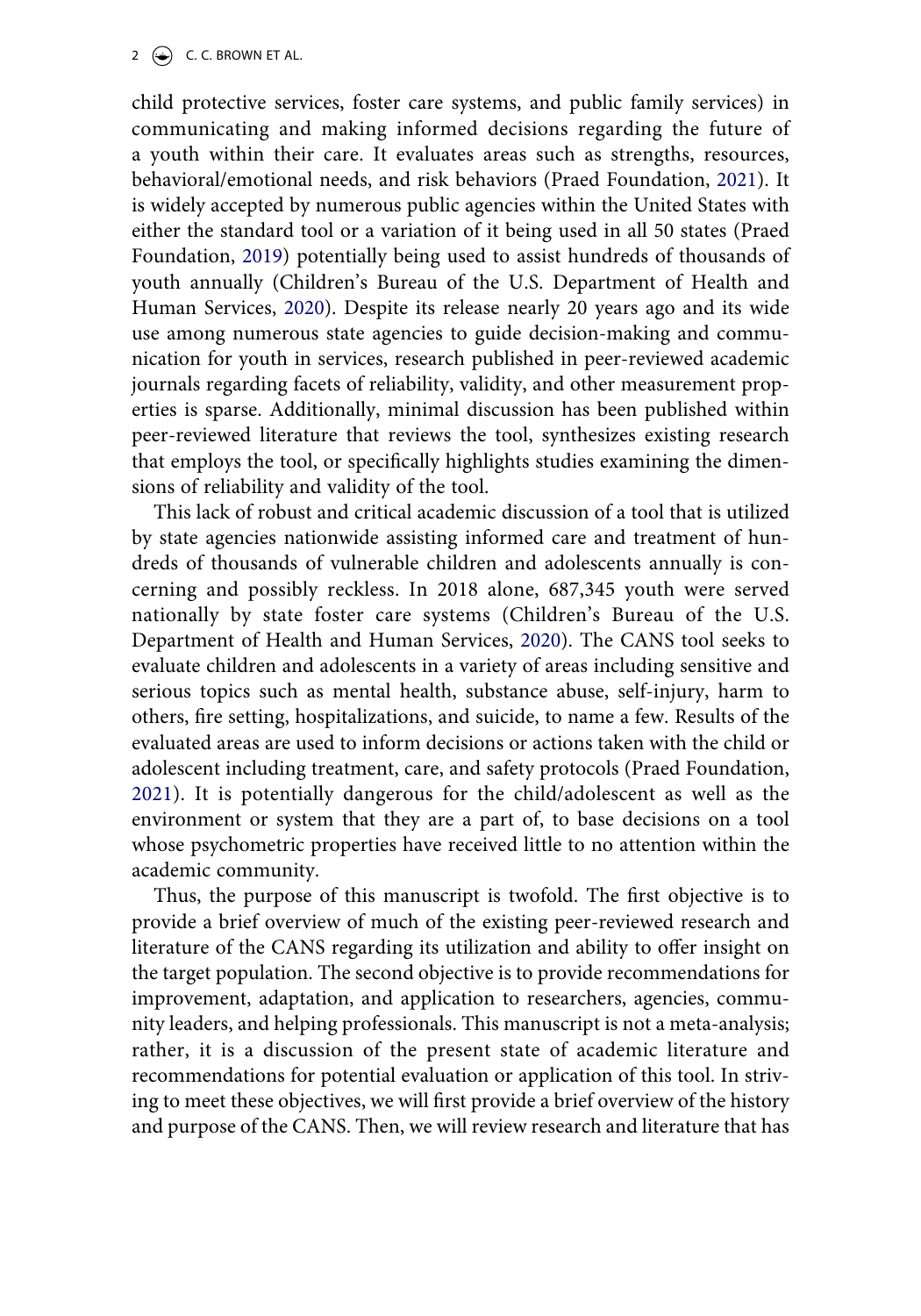2  $\left(\frac{1}{2}\right)$  C. C. BROWN ET AL.

<span id="page-2-1"></span>child protective services, foster care systems, and public family services) in communicating and making informed decisions regarding the future of a youth within their care. It evaluates areas such as strengths, resources, behavioral/emotional needs, and risk behaviors (Praed Foundation, [2021](#page-16-0)). It is widely accepted by numerous public agencies within the United States with either the standard tool or a variation of it being used in all 50 states (Praed Foundation, [2019\)](#page-16-1) potentially being used to assist hundreds of thousands of youth annually (Children's Bureau of the U.S. Department of Health and Human Services, [2020\)](#page-14-0). Despite its release nearly 20 years ago and its wide use among numerous state agencies to guide decision-making and communication for youth in services, research published in peer-reviewed academic journals regarding facets of reliability, validity, and other measurement properties is sparse. Additionally, minimal discussion has been published within peer-reviewed literature that reviews the tool, synthesizes existing research that employs the tool, or specifically highlights studies examining the dimensions of reliability and validity of the tool.

<span id="page-2-0"></span>This lack of robust and critical academic discussion of a tool that is utilized by state agencies nationwide assisting informed care and treatment of hundreds of thousands of vulnerable children and adolescents annually is concerning and possibly reckless. In 2018 alone, 687,345 youth were served nationally by state foster care systems (Children's Bureau of the U.S. Department of Health and Human Services, [2020\)](#page-14-0). The CANS tool seeks to evaluate children and adolescents in a variety of areas including sensitive and serious topics such as mental health, substance abuse, self-injury, harm to others, fire setting, hospitalizations, and suicide, to name a few. Results of the evaluated areas are used to inform decisions or actions taken with the child or adolescent including treatment, care, and safety protocols (Praed Foundation, [2021\)](#page-16-0). It is potentially dangerous for the child/adolescent as well as the environment or system that they are a part of, to base decisions on a tool whose psychometric properties have received little to no attention within the academic community.

<span id="page-2-2"></span>Thus, the purpose of this manuscript is twofold. The first objective is to provide a brief overview of much of the existing peer-reviewed research and literature of the CANS regarding its utilization and ability to offer insight on the target population. The second objective is to provide recommendations for improvement, adaptation, and application to researchers, agencies, community leaders, and helping professionals. This manuscript is not a meta-analysis; rather, it is a discussion of the present state of academic literature and recommendations for potential evaluation or application of this tool. In striving to meet these objectives, we will first provide a brief overview of the history and purpose of the CANS. Then, we will review research and literature that has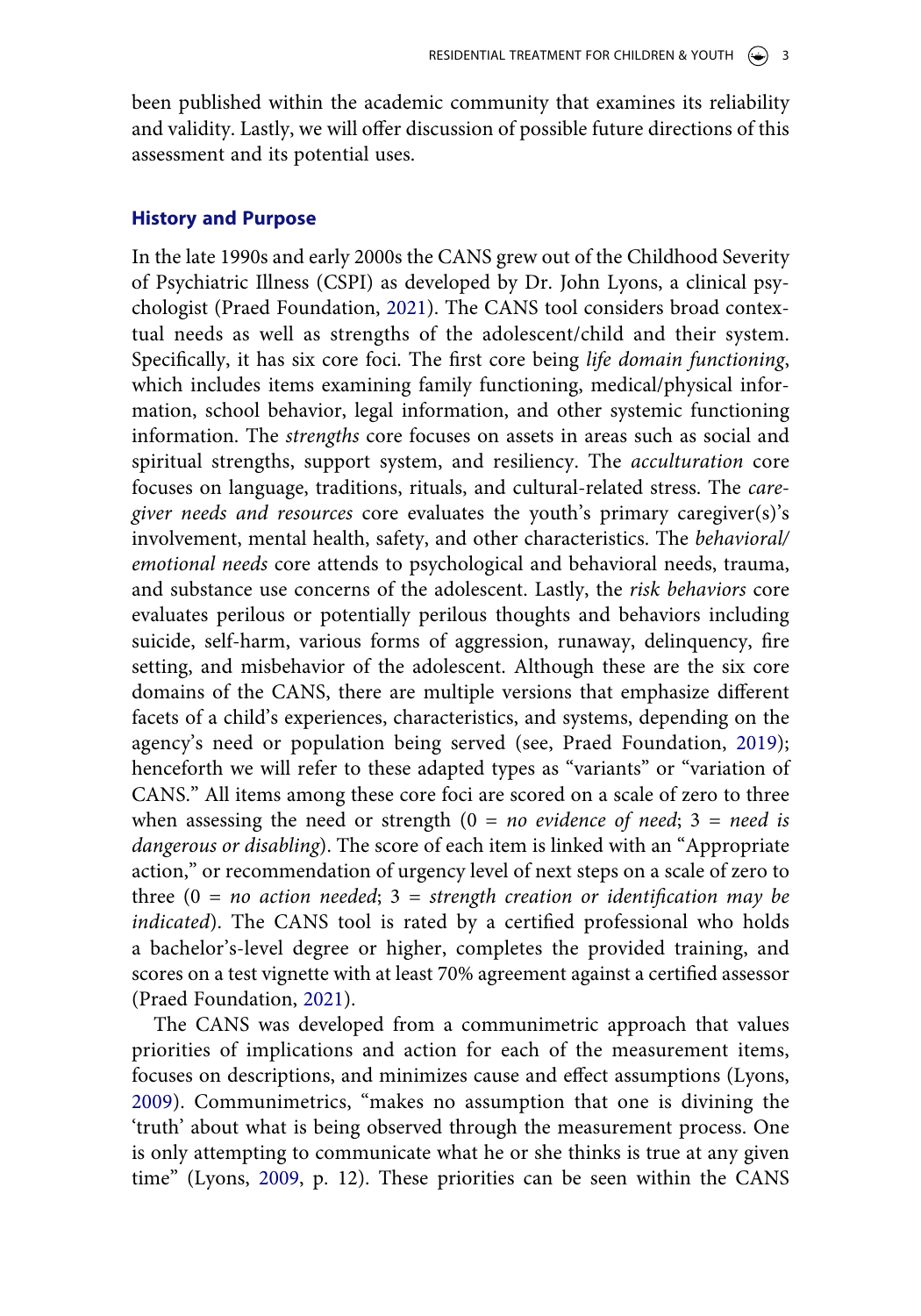been published within the academic community that examines its reliability and validity. Lastly, we will offer discussion of possible future directions of this assessment and its potential uses.

#### **History and Purpose**

In the late 1990s and early 2000s the CANS grew out of the Childhood Severity of Psychiatric Illness (CSPI) as developed by Dr. John Lyons, a clinical psychologist (Praed Foundation, [2021\)](#page-16-0). The CANS tool considers broad contextual needs as well as strengths of the adolescent/child and their system. Specifically, it has six core foci. The first core being *life domain functioning*, which includes items examining family functioning, medical/physical information, school behavior, legal information, and other systemic functioning information. The *strengths* core focuses on assets in areas such as social and spiritual strengths, support system, and resiliency. The *acculturation* core focuses on language, traditions, rituals, and cultural-related stress. The *caregiver needs and resources* core evaluates the youth's primary caregiver(s)'s involvement, mental health, safety, and other characteristics. The *behavioral/ emotional needs* core attends to psychological and behavioral needs, trauma, and substance use concerns of the adolescent. Lastly, the *risk behaviors* core evaluates perilous or potentially perilous thoughts and behaviors including suicide, self-harm, various forms of aggression, runaway, delinquency, fire setting, and misbehavior of the adolescent. Although these are the six core domains of the CANS, there are multiple versions that emphasize different facets of a child's experiences, characteristics, and systems, depending on the agency's need or population being served (see, Praed Foundation, [2019](#page-16-1)); henceforth we will refer to these adapted types as "variants" or "variation of CANS." All items among these core foci are scored on a scale of zero to three when assessing the need or strength (0 = *no evidence of need*; 3 = *need is dangerous or disabling*). The score of each item is linked with an "Appropriate action," or recommendation of urgency level of next steps on a scale of zero to three (0 = *no action needed*; 3 = *strength creation or identification may be indicated*). The CANS tool is rated by a certified professional who holds a bachelor's-level degree or higher, completes the provided training, and scores on a test vignette with at least 70% agreement against a certified assessor (Praed Foundation, [2021](#page-16-0)).

<span id="page-3-0"></span>The CANS was developed from a communimetric approach that values priorities of implications and action for each of the measurement items, focuses on descriptions, and minimizes cause and effect assumptions (Lyons, [2009](#page-15-0)). Communimetrics, "makes no assumption that one is divining the 'truth' about what is being observed through the measurement process. One is only attempting to communicate what he or she thinks is true at any given time" (Lyons, [2009,](#page-15-0) p. 12). These priorities can be seen within the CANS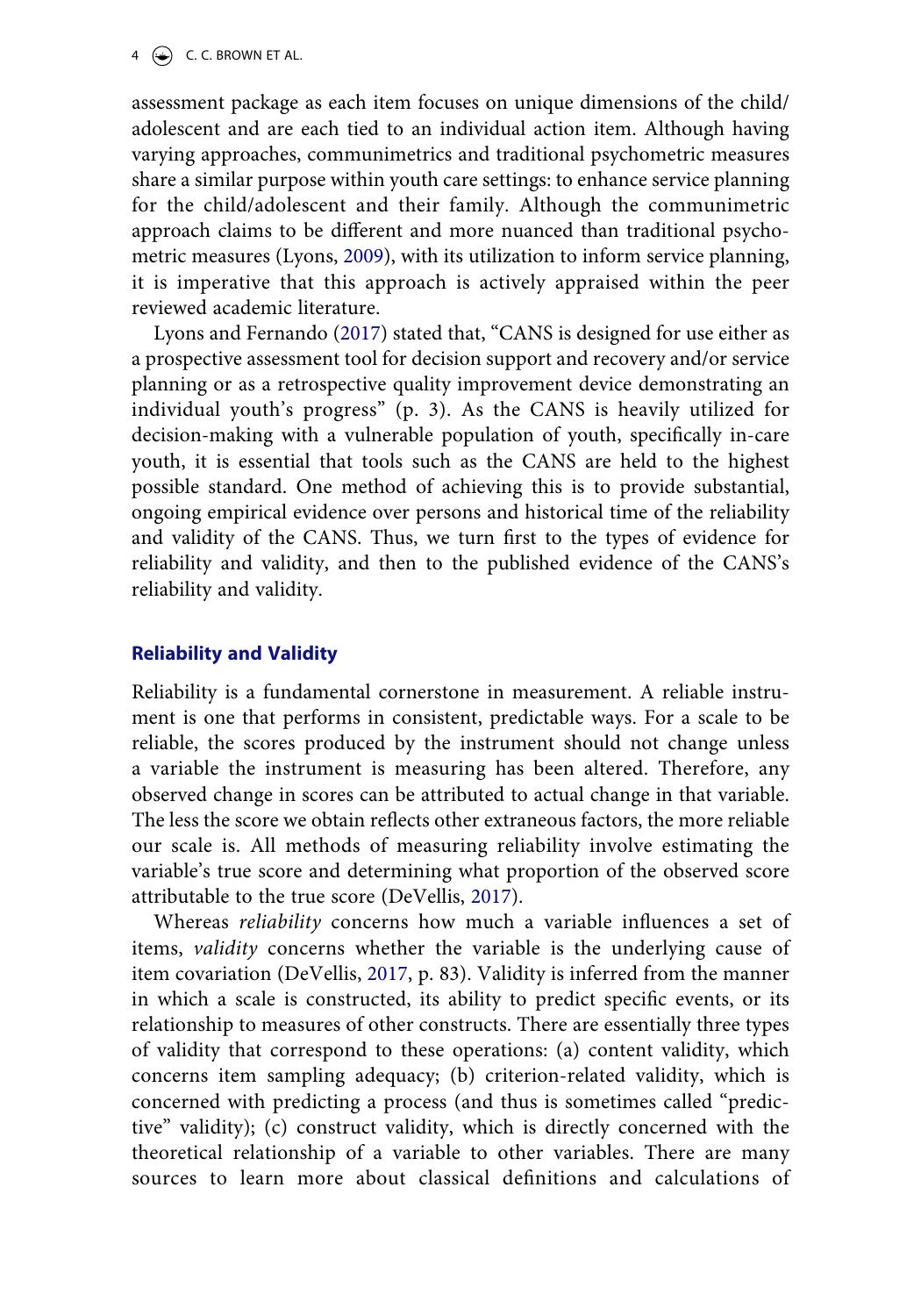4  $\left(\frac{1}{2}\right)$  C. C. BROWN ET AL.

assessment package as each item focuses on unique dimensions of the child/ adolescent and are each tied to an individual action item. Although having varying approaches, communimetrics and traditional psychometric measures share a similar purpose within youth care settings: to enhance service planning for the child/adolescent and their family. Although the communimetric approach claims to be different and more nuanced than traditional psychometric measures (Lyons, [2009\)](#page-15-0), with its utilization to inform service planning, it is imperative that this approach is actively appraised within the peer reviewed academic literature.

<span id="page-4-1"></span>Lyons and Fernando [\(2017](#page-15-1)) stated that, "CANS is designed for use either as a prospective assessment tool for decision support and recovery and/or service planning or as a retrospective quality improvement device demonstrating an individual youth's progress" (p. 3). As the CANS is heavily utilized for decision-making with a vulnerable population of youth, specifically in-care youth, it is essential that tools such as the CANS are held to the highest possible standard. One method of achieving this is to provide substantial, ongoing empirical evidence over persons and historical time of the reliability and validity of the CANS. Thus, we turn first to the types of evidence for reliability and validity, and then to the published evidence of the CANS's reliability and validity.

#### **Reliability and Validity**

Reliability is a fundamental cornerstone in measurement. A reliable instrument is one that performs in consistent, predictable ways. For a scale to be reliable, the scores produced by the instrument should not change unless a variable the instrument is measuring has been altered. Therefore, any observed change in scores can be attributed to actual change in that variable. The less the score we obtain reflects other extraneous factors, the more reliable our scale is. All methods of measuring reliability involve estimating the variable's true score and determining what proportion of the observed score attributable to the true score (DeVellis, [2017\)](#page-14-1).

<span id="page-4-0"></span>Whereas *reliability* concerns how much a variable influences a set of items, *validity* concerns whether the variable is the underlying cause of item covariation (DeVellis, [2017](#page-14-1), p. 83). Validity is inferred from the manner in which a scale is constructed, its ability to predict specific events, or its relationship to measures of other constructs. There are essentially three types of validity that correspond to these operations: (a) content validity, which concerns item sampling adequacy; (b) criterion-related validity, which is concerned with predicting a process (and thus is sometimes called "predictive" validity); (c) construct validity, which is directly concerned with the theoretical relationship of a variable to other variables. There are many sources to learn more about classical definitions and calculations of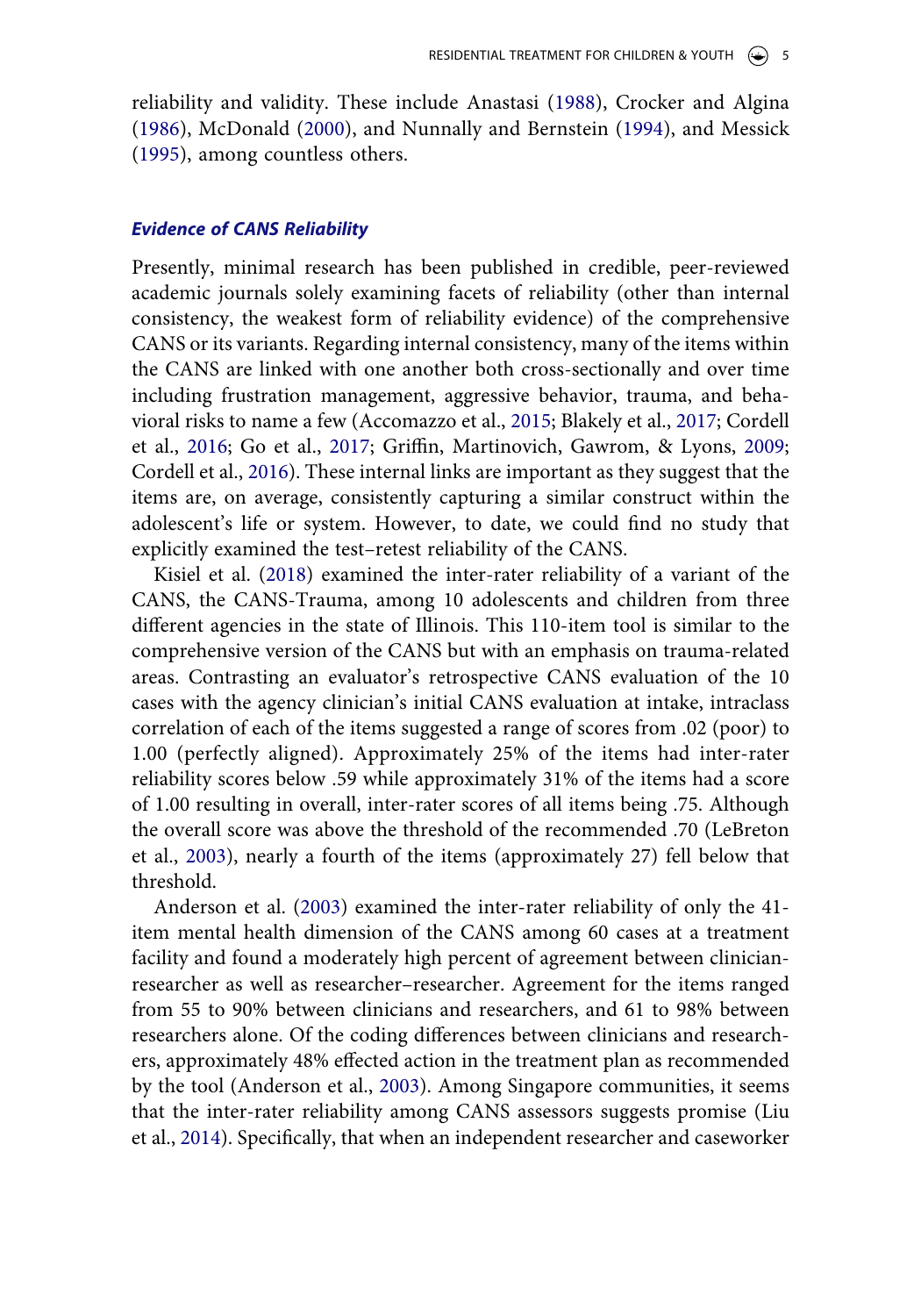<span id="page-5-9"></span><span id="page-5-4"></span><span id="page-5-1"></span>reliability and validity. These include Anastasi ([1988\)](#page-13-0), Crocker and Algina ([1986](#page-14-2)), McDonald [\(2000\)](#page-15-2), and Nunnally and Bernstein ([1994](#page-16-2)), and Messick ([1995](#page-16-3)), among countless others.

#### *Evidence of CANS Reliability*

<span id="page-5-0"></span>Presently, minimal research has been published in credible, peer-reviewed academic journals solely examining facets of reliability (other than internal consistency, the weakest form of reliability evidence) of the comprehensive CANS or its variants. Regarding internal consistency, many of the items within the CANS are linked with one another both cross-sectionally and over time including frustration management, aggressive behavior, trauma, and behavioral risks to name a few (Accomazzo et al., [2015;](#page-13-1) Blakely et al., [2017](#page-14-3); Cordell et al., [2016](#page-14-4); Go et al., [2017](#page-15-3); Griffin, Martinovich, Gawrom, & Lyons, [2009](#page-15-0); Cordell et al., [2016\)](#page-14-4). These internal links are important as they suggest that the items are, on average, consistently capturing a similar construct within the adolescent's life or system. However, to date, we could find no study that explicitly examined the test–retest reliability of the CANS.

<span id="page-5-6"></span><span id="page-5-5"></span><span id="page-5-3"></span>Kisiel et al. ([2018\)](#page-15-4) examined the inter-rater reliability of a variant of the CANS, the CANS-Trauma, among 10 adolescents and children from three different agencies in the state of Illinois. This 110-item tool is similar to the comprehensive version of the CANS but with an emphasis on trauma-related areas. Contrasting an evaluator's retrospective CANS evaluation of the 10 cases with the agency clinician's initial CANS evaluation at intake, intraclass correlation of each of the items suggested a range of scores from .02 (poor) to 1.00 (perfectly aligned). Approximately 25% of the items had inter-rater reliability scores below .59 while approximately 31% of the items had a score of 1.00 resulting in overall, inter-rater scores of all items being .75. Although the overall score was above the threshold of the recommended .70 (LeBreton et al., [2003\)](#page-15-5), nearly a fourth of the items (approximately 27) fell below that threshold.

<span id="page-5-8"></span><span id="page-5-7"></span><span id="page-5-2"></span>Anderson et al. [\(2003](#page-14-5)) examined the inter-rater reliability of only the 41 item mental health dimension of the CANS among 60 cases at a treatment facility and found a moderately high percent of agreement between clinicianresearcher as well as researcher–researcher. Agreement for the items ranged from 55 to 90% between clinicians and researchers, and 61 to 98% between researchers alone. Of the coding differences between clinicians and researchers, approximately 48% effected action in the treatment plan as recommended by the tool (Anderson et al., [2003\)](#page-14-5). Among Singapore communities, it seems that the inter-rater reliability among CANS assessors suggests promise (Liu et al., [2014\)](#page-15-6). Specifically, that when an independent researcher and caseworker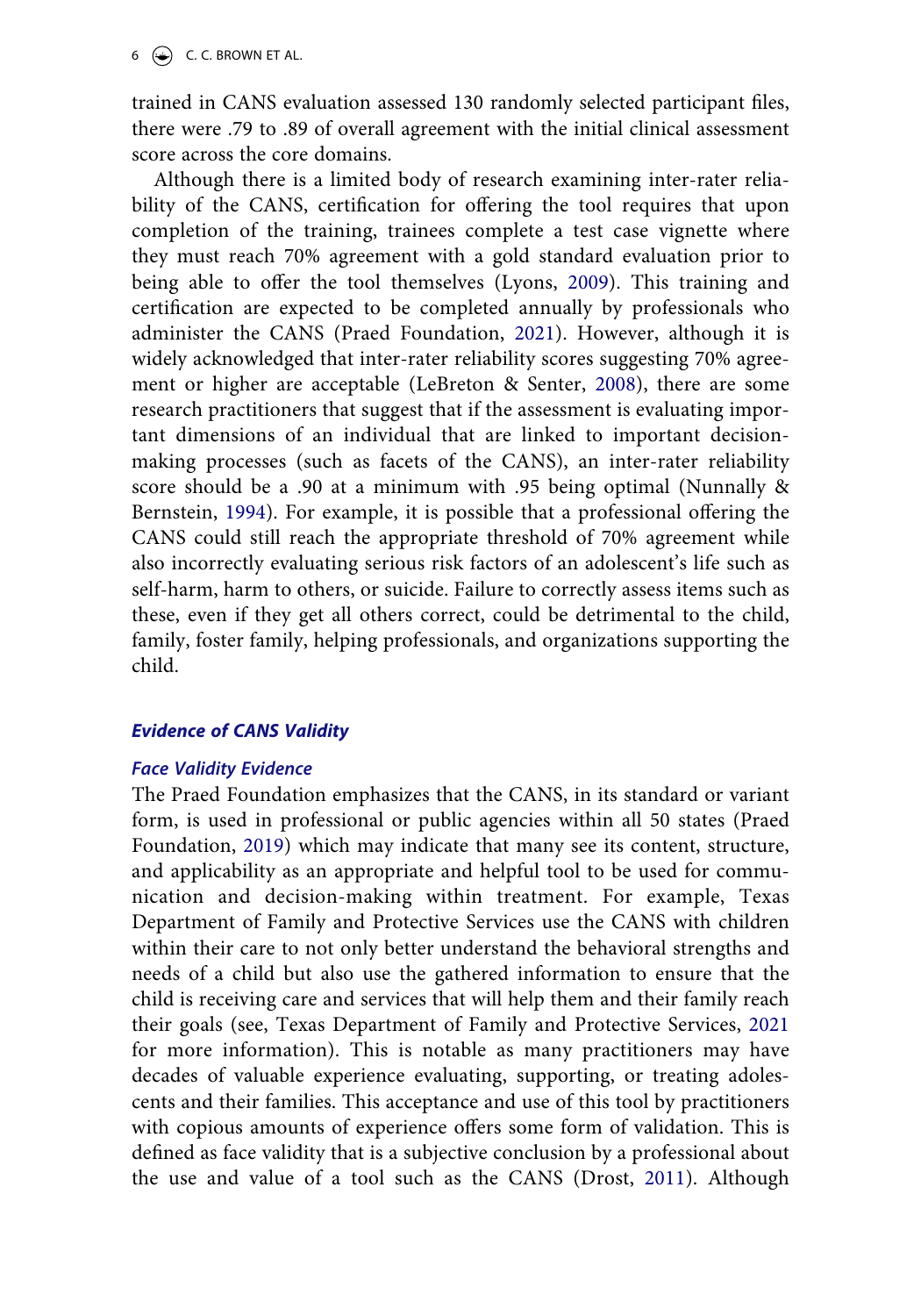trained in CANS evaluation assessed 130 randomly selected participant files, there were .79 to .89 of overall agreement with the initial clinical assessment score across the core domains.

<span id="page-6-1"></span>Although there is a limited body of research examining inter-rater reliability of the CANS, certification for offering the tool requires that upon completion of the training, trainees complete a test case vignette where they must reach 70% agreement with a gold standard evaluation prior to being able to offer the tool themselves (Lyons, [2009](#page-15-0)). This training and certification are expected to be completed annually by professionals who administer the CANS (Praed Foundation, [2021\)](#page-16-0). However, although it is widely acknowledged that inter-rater reliability scores suggesting 70% agreement or higher are acceptable (LeBreton & Senter, [2008\)](#page-15-7), there are some research practitioners that suggest that if the assessment is evaluating important dimensions of an individual that are linked to important decisionmaking processes (such as facets of the CANS), an inter-rater reliability score should be a .90 at a minimum with .95 being optimal (Nunnally & Bernstein, [1994](#page-16-2)). For example, it is possible that a professional offering the CANS could still reach the appropriate threshold of 70% agreement while also incorrectly evaluating serious risk factors of an adolescent's life such as self-harm, harm to others, or suicide. Failure to correctly assess items such as these, even if they get all others correct, could be detrimental to the child, family, foster family, helping professionals, and organizations supporting the child.

## *Evidence of CANS Validity*

#### *Face Validity Evidence*

<span id="page-6-2"></span><span id="page-6-0"></span>The Praed Foundation emphasizes that the CANS, in its standard or variant form, is used in professional or public agencies within all 50 states (Praed Foundation, [2019](#page-16-1)) which may indicate that many see its content, structure, and applicability as an appropriate and helpful tool to be used for communication and decision-making within treatment. For example, Texas Department of Family and Protective Services use the CANS with children within their care to not only better understand the behavioral strengths and needs of a child but also use the gathered information to ensure that the child is receiving care and services that will help them and their family reach their goals (see, Texas Department of Family and Protective Services, [2021](#page-16-4) for more information). This is notable as many practitioners may have decades of valuable experience evaluating, supporting, or treating adolescents and their families. This acceptance and use of this tool by practitioners with copious amounts of experience offers some form of validation. This is defined as face validity that is a subjective conclusion by a professional about the use and value of a tool such as the CANS (Drost, [2011](#page-15-8)). Although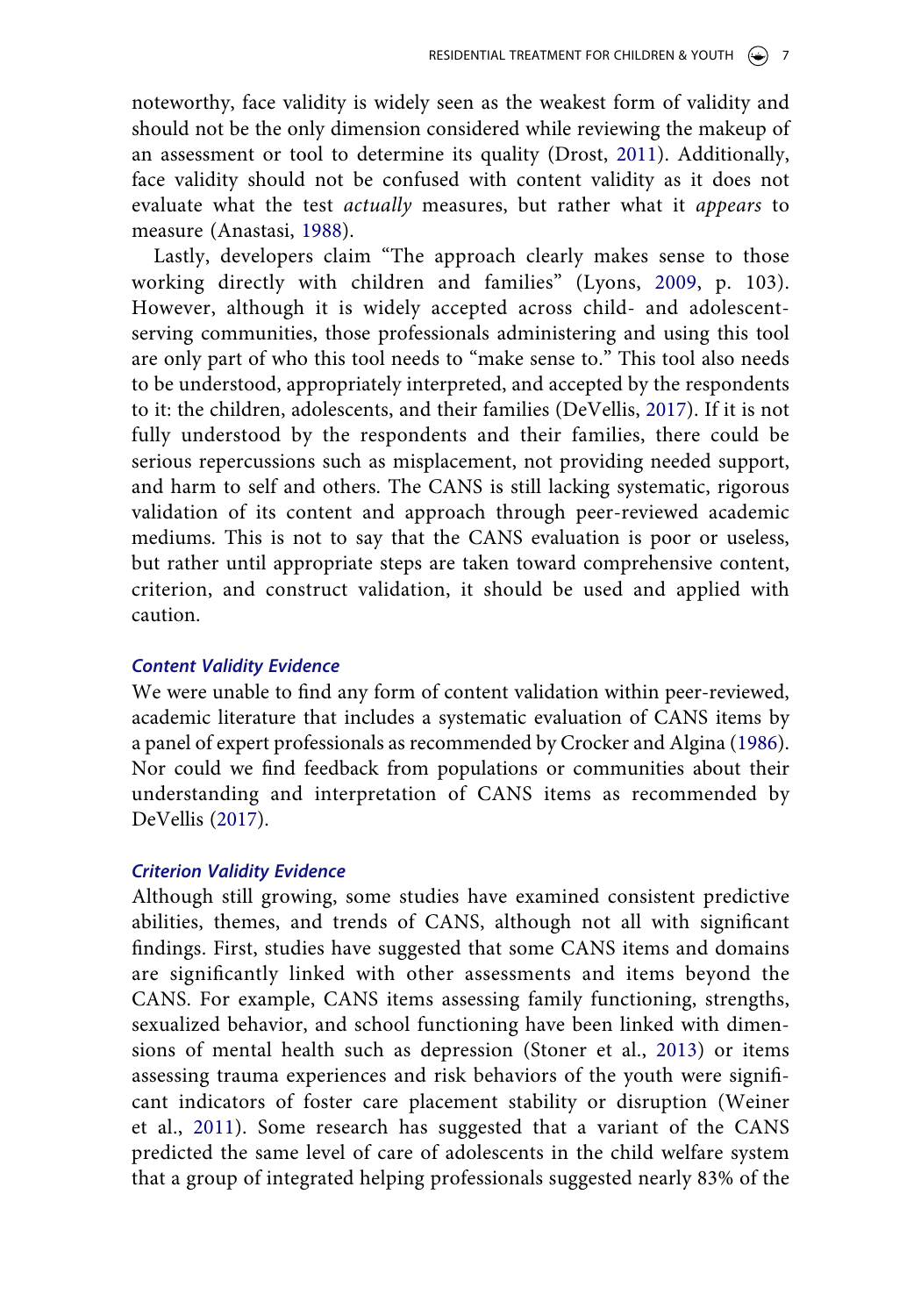noteworthy, face validity is widely seen as the weakest form of validity and should not be the only dimension considered while reviewing the makeup of an assessment or tool to determine its quality (Drost, [2011\)](#page-15-8). Additionally, face validity should not be confused with content validity as it does not evaluate what the test *actually* measures, but rather what it *appears* to measure (Anastasi, [1988](#page-13-0)).

Lastly, developers claim "The approach clearly makes sense to those working directly with children and families" (Lyons, [2009](#page-15-0), p. 103). However, although it is widely accepted across child- and adolescentserving communities, those professionals administering and using this tool are only part of who this tool needs to "make sense to." This tool also needs to be understood, appropriately interpreted, and accepted by the respondents to it: the children, adolescents, and their families (DeVellis, [2017\)](#page-14-1). If it is not fully understood by the respondents and their families, there could be serious repercussions such as misplacement, not providing needed support, and harm to self and others. The CANS is still lacking systematic, rigorous validation of its content and approach through peer-reviewed academic mediums. This is not to say that the CANS evaluation is poor or useless, but rather until appropriate steps are taken toward comprehensive content, criterion, and construct validation, it should be used and applied with caution.

#### *Content Validity Evidence*

We were unable to find any form of content validation within peer-reviewed, academic literature that includes a systematic evaluation of CANS items by a panel of expert professionals as recommended by Crocker and Algina [\(1986](#page-14-2)). Nor could we find feedback from populations or communities about their understanding and interpretation of CANS items as recommended by DeVellis ([2017\)](#page-14-1).

## *Criterion Validity Evidence*

<span id="page-7-1"></span><span id="page-7-0"></span>Although still growing, some studies have examined consistent predictive abilities, themes, and trends of CANS, although not all with significant findings. First, studies have suggested that some CANS items and domains are significantly linked with other assessments and items beyond the CANS. For example, CANS items assessing family functioning, strengths, sexualized behavior, and school functioning have been linked with dimensions of mental health such as depression (Stoner et al., [2013\)](#page-16-5) or items assessing trauma experiences and risk behaviors of the youth were significant indicators of foster care placement stability or disruption (Weiner et al., [2011](#page-16-6)). Some research has suggested that a variant of the CANS predicted the same level of care of adolescents in the child welfare system that a group of integrated helping professionals suggested nearly 83% of the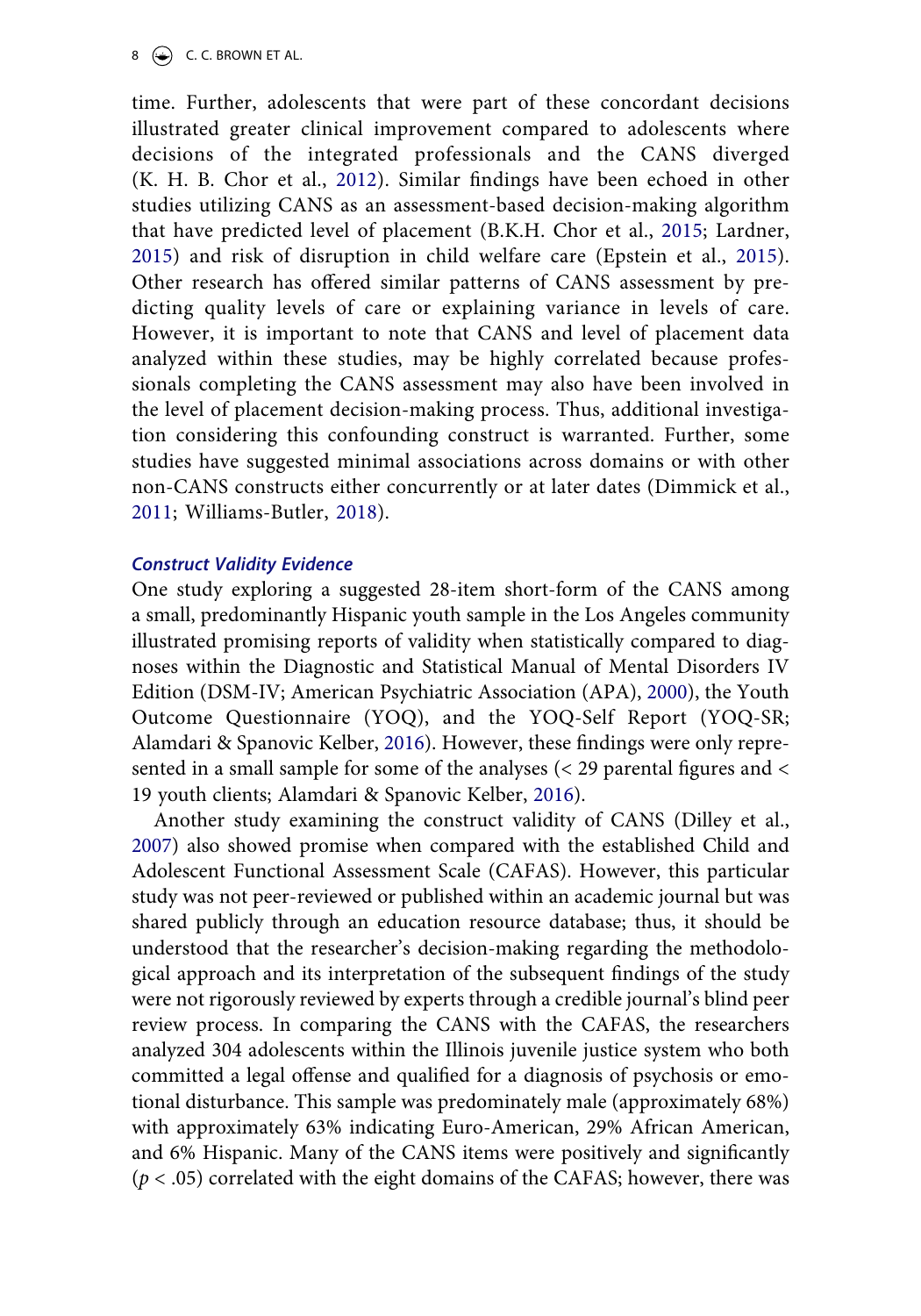8  $\leftrightarrow$  C. C. BROWN ET AL.

<span id="page-8-6"></span><span id="page-8-3"></span><span id="page-8-2"></span>time. Further, adolescents that were part of these concordant decisions illustrated greater clinical improvement compared to adolescents where decisions of the integrated professionals and the CANS diverged (K. H. B. Chor et al., [2012](#page-14-6)). Similar findings have been echoed in other studies utilizing CANS as an assessment-based decision-making algorithm that have predicted level of placement (B.K.H. Chor et al., [2015;](#page-14-7) Lardner, [2015\)](#page-15-9) and risk of disruption in child welfare care (Epstein et al., [2015](#page-15-10)). Other research has offered similar patterns of CANS assessment by predicting quality levels of care or explaining variance in levels of care. However, it is important to note that CANS and level of placement data analyzed within these studies, may be highly correlated because professionals completing the CANS assessment may also have been involved in the level of placement decision-making process. Thus, additional investigation considering this confounding construct is warranted. Further, some studies have suggested minimal associations across domains or with other non-CANS constructs either concurrently or at later dates (Dimmick et al., [2011;](#page-14-8) Williams-Butler, [2018](#page-16-7)).

#### <span id="page-8-7"></span><span id="page-8-5"></span>*Construct Validity Evidence*

<span id="page-8-1"></span>One study exploring a suggested 28-item short-form of the CANS among a small, predominantly Hispanic youth sample in the Los Angeles community illustrated promising reports of validity when statistically compared to diagnoses within the Diagnostic and Statistical Manual of Mental Disorders IV Edition (DSM-IV; American Psychiatric Association (APA), [2000](#page-13-2)), the Youth Outcome Questionnaire (YOQ), and the YOQ-Self Report (YOQ-SR; Alamdari & Spanovic Kelber, [2016](#page-13-3)). However, these findings were only represented in a small sample for some of the analyses (< 29 parental figures and < 19 youth clients; Alamdari & Spanovic Kelber, [2016\)](#page-13-3).

<span id="page-8-4"></span><span id="page-8-0"></span>Another study examining the construct validity of CANS (Dilley et al., [2007](#page-14-9)) also showed promise when compared with the established Child and Adolescent Functional Assessment Scale (CAFAS). However, this particular study was not peer-reviewed or published within an academic journal but was shared publicly through an education resource database; thus, it should be understood that the researcher's decision-making regarding the methodological approach and its interpretation of the subsequent findings of the study were not rigorously reviewed by experts through a credible journal's blind peer review process. In comparing the CANS with the CAFAS, the researchers analyzed 304 adolescents within the Illinois juvenile justice system who both committed a legal offense and qualified for a diagnosis of psychosis or emotional disturbance. This sample was predominately male (approximately 68%) with approximately 63% indicating Euro-American, 29% African American, and 6% Hispanic. Many of the CANS items were positively and significantly (*p* < .05) correlated with the eight domains of the CAFAS; however, there was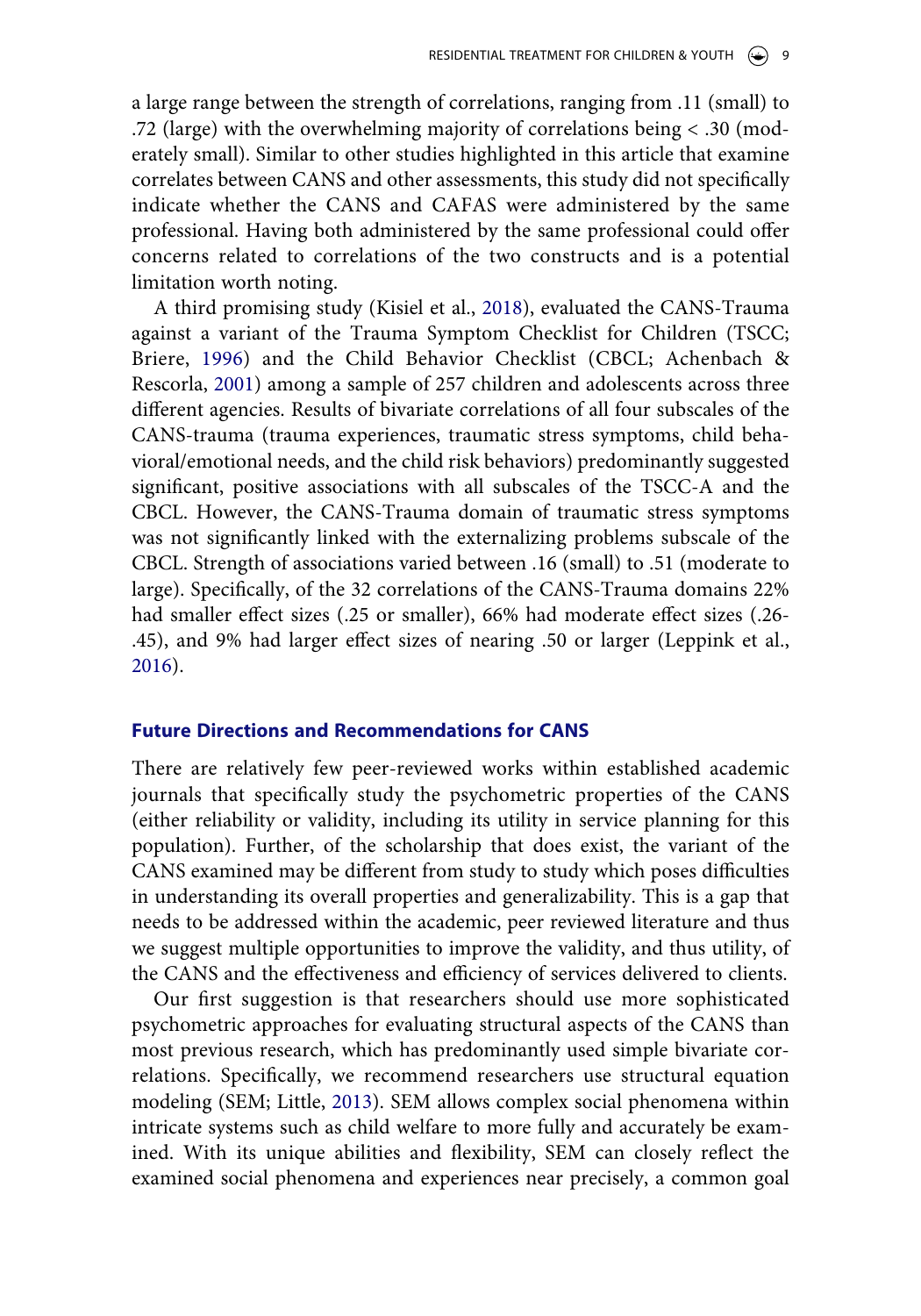a large range between the strength of correlations, ranging from .11 (small) to .72 (large) with the overwhelming majority of correlations being < .30 (moderately small). Similar to other studies highlighted in this article that examine correlates between CANS and other assessments, this study did not specifically indicate whether the CANS and CAFAS were administered by the same professional. Having both administered by the same professional could offer concerns related to correlations of the two constructs and is a potential limitation worth noting.

<span id="page-9-1"></span><span id="page-9-0"></span>A third promising study (Kisiel et al., [2018\)](#page-15-4), evaluated the CANS-Trauma against a variant of the Trauma Symptom Checklist for Children (TSCC; Briere, [1996](#page-14-10)) and the Child Behavior Checklist (CBCL; Achenbach & Rescorla, [2001](#page-13-4)) among a sample of 257 children and adolescents across three different agencies. Results of bivariate correlations of all four subscales of the CANS-trauma (trauma experiences, traumatic stress symptoms, child behavioral/emotional needs, and the child risk behaviors) predominantly suggested significant, positive associations with all subscales of the TSCC-A and the CBCL. However, the CANS-Trauma domain of traumatic stress symptoms was not significantly linked with the externalizing problems subscale of the CBCL. Strength of associations varied between .16 (small) to .51 (moderate to large). Specifically, of the 32 correlations of the CANS-Trauma domains 22% had smaller effect sizes (.25 or smaller), 66% had moderate effect sizes (.26- .45), and 9% had larger effect sizes of nearing .50 or larger (Leppink et al., [2016](#page-15-11)).

#### <span id="page-9-2"></span>**Future Directions and Recommendations for CANS**

There are relatively few peer-reviewed works within established academic journals that specifically study the psychometric properties of the CANS (either reliability or validity, including its utility in service planning for this population). Further, of the scholarship that does exist, the variant of the CANS examined may be different from study to study which poses difficulties in understanding its overall properties and generalizability. This is a gap that needs to be addressed within the academic, peer reviewed literature and thus we suggest multiple opportunities to improve the validity, and thus utility, of the CANS and the effectiveness and efficiency of services delivered to clients.

<span id="page-9-3"></span>Our first suggestion is that researchers should use more sophisticated psychometric approaches for evaluating structural aspects of the CANS than most previous research, which has predominantly used simple bivariate correlations. Specifically, we recommend researchers use structural equation modeling (SEM; Little, [2013\)](#page-15-12). SEM allows complex social phenomena within intricate systems such as child welfare to more fully and accurately be examined. With its unique abilities and flexibility, SEM can closely reflect the examined social phenomena and experiences near precisely, a common goal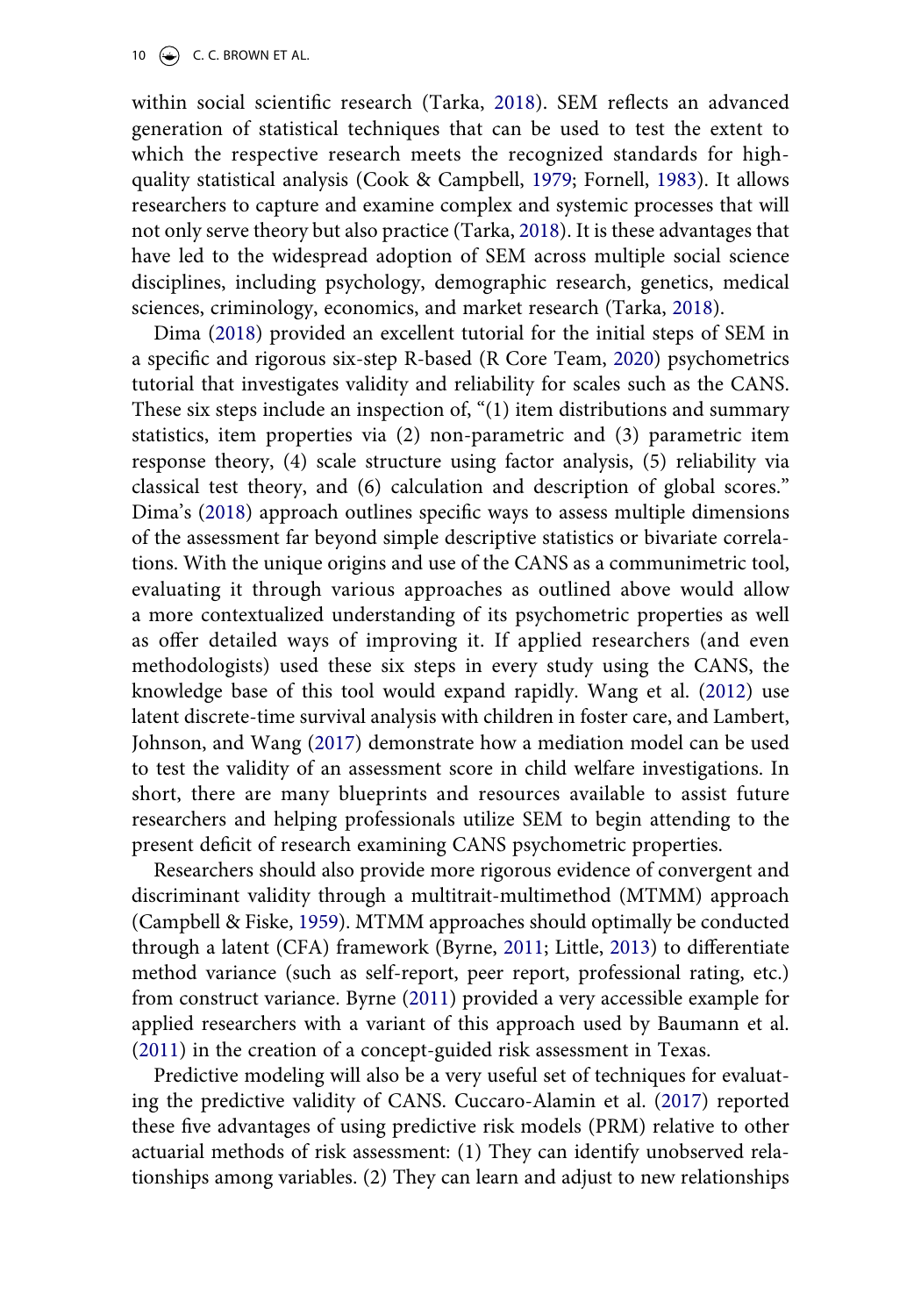10  $\left(\rightarrow\right)$  C. C. BROWN ET AL.

<span id="page-10-3"></span>within social scientific research (Tarka, [2018\)](#page-16-8). SEM reflects an advanced generation of statistical techniques that can be used to test the extent to which the respective research meets the recognized standards for highquality statistical analysis (Cook & Campbell, [1979;](#page-14-11) Fornell, [1983](#page-15-13)). It allows researchers to capture and examine complex and systemic processes that will not only serve theory but also practice (Tarka, [2018](#page-16-8)). It is these advantages that have led to the widespread adoption of SEM across multiple social science disciplines, including psychology, demographic research, genetics, medical sciences, criminology, economics, and market research (Tarka, [2018](#page-16-8)).

<span id="page-10-8"></span><span id="page-10-7"></span><span id="page-10-5"></span>Dima ([2018\)](#page-14-12) provided an excellent tutorial for the initial steps of SEM in a specific and rigorous six-step R-based (R Core Team, [2020\)](#page-16-9) psychometrics tutorial that investigates validity and reliability for scales such as the CANS. These six steps include an inspection of, "(1) item distributions and summary statistics, item properties via (2) non-parametric and (3) parametric item response theory, (4) scale structure using factor analysis, (5) reliability via classical test theory, and (6) calculation and description of global scores." Dima's [\(2018](#page-14-12)) approach outlines specific ways to assess multiple dimensions of the assessment far beyond simple descriptive statistics or bivariate correlations. With the unique origins and use of the CANS as a communimetric tool, evaluating it through various approaches as outlined above would allow a more contextualized understanding of its psychometric properties as well as offer detailed ways of improving it. If applied researchers (and even methodologists) used these six steps in every study using the CANS, the knowledge base of this tool would expand rapidly. Wang et al. [\(2012](#page-16-10)) use latent discrete-time survival analysis with children in foster care, and Lambert, Johnson, and Wang [\(2017](#page-15-14)) demonstrate how a mediation model can be used to test the validity of an assessment score in child welfare investigations. In short, there are many blueprints and resources available to assist future researchers and helping professionals utilize SEM to begin attending to the present deficit of research examining CANS psychometric properties.

<span id="page-10-9"></span><span id="page-10-6"></span><span id="page-10-2"></span>Researchers should also provide more rigorous evidence of convergent and discriminant validity through a multitrait-multimethod (MTMM) approach (Campbell & Fiske, [1959](#page-14-13)). MTMM approaches should optimally be conducted through a latent (CFA) framework (Byrne, [2011;](#page-14-14) Little, [2013\)](#page-15-12) to differentiate method variance (such as self-report, peer report, professional rating, etc.) from construct variance. Byrne ([2011\)](#page-14-14) provided a very accessible example for applied researchers with a variant of this approach used by Baumann et al. ([2011](#page-14-15)) in the creation of a concept-guided risk assessment in Texas.

<span id="page-10-4"></span><span id="page-10-1"></span><span id="page-10-0"></span>Predictive modeling will also be a very useful set of techniques for evaluating the predictive validity of CANS. Cuccaro-Alamin et al. ([2017\)](#page-14-16) reported these five advantages of using predictive risk models (PRM) relative to other actuarial methods of risk assessment: (1) They can identify unobserved relationships among variables. (2) They can learn and adjust to new relationships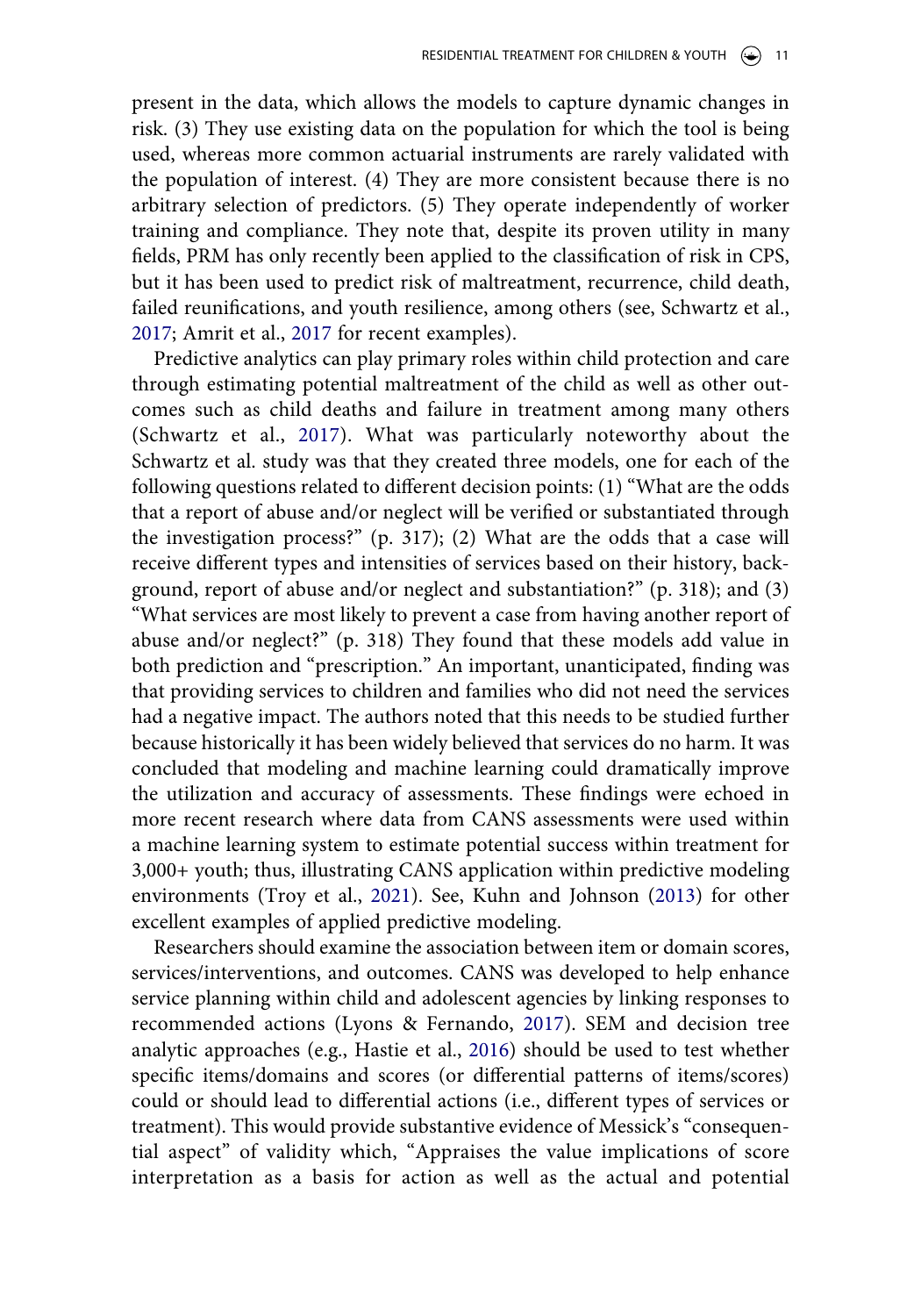present in the data, which allows the models to capture dynamic changes in risk. (3) They use existing data on the population for which the tool is being used, whereas more common actuarial instruments are rarely validated with the population of interest. (4) They are more consistent because there is no arbitrary selection of predictors. (5) They operate independently of worker training and compliance. They note that, despite its proven utility in many fields, PRM has only recently been applied to the classification of risk in CPS, but it has been used to predict risk of maltreatment, recurrence, child death, failed reunifications, and youth resilience, among others (see, Schwartz et al., [2017](#page-16-11); Amrit et al., [2017](#page-13-5) for recent examples).

<span id="page-11-3"></span><span id="page-11-0"></span>Predictive analytics can play primary roles within child protection and care through estimating potential maltreatment of the child as well as other outcomes such as child deaths and failure in treatment among many others (Schwartz et al., [2017\)](#page-16-11). What was particularly noteworthy about the Schwartz et al. study was that they created three models, one for each of the following questions related to different decision points: (1) "What are the odds that a report of abuse and/or neglect will be verified or substantiated through the investigation process?" (p. 317); (2) What are the odds that a case will receive different types and intensities of services based on their history, background, report of abuse and/or neglect and substantiation?" (p. 318); and (3) "What services are most likely to prevent a case from having another report of abuse and/or neglect?" (p. 318) They found that these models add value in both prediction and "prescription." An important, unanticipated, finding was that providing services to children and families who did not need the services had a negative impact. The authors noted that this needs to be studied further because historically it has been widely believed that services do no harm. It was concluded that modeling and machine learning could dramatically improve the utilization and accuracy of assessments. These findings were echoed in more recent research where data from CANS assessments were used within a machine learning system to estimate potential success within treatment for 3,000+ youth; thus, illustrating CANS application within predictive modeling environments (Troy et al., [2021\)](#page-16-12). See, Kuhn and Johnson ([2013\)](#page-15-15) for other excellent examples of applied predictive modeling.

<span id="page-11-2"></span><span id="page-11-1"></span>Researchers should examine the association between item or domain scores, services/interventions, and outcomes. CANS was developed to help enhance service planning within child and adolescent agencies by linking responses to recommended actions (Lyons & Fernando, [2017\)](#page-15-1). SEM and decision tree analytic approaches (e.g., Hastie et al., [2016\)](#page-15-16) should be used to test whether specific items/domains and scores (or differential patterns of items/scores) could or should lead to differential actions (i.e., different types of services or treatment). This would provide substantive evidence of Messick's "consequential aspect" of validity which, "Appraises the value implications of score interpretation as a basis for action as well as the actual and potential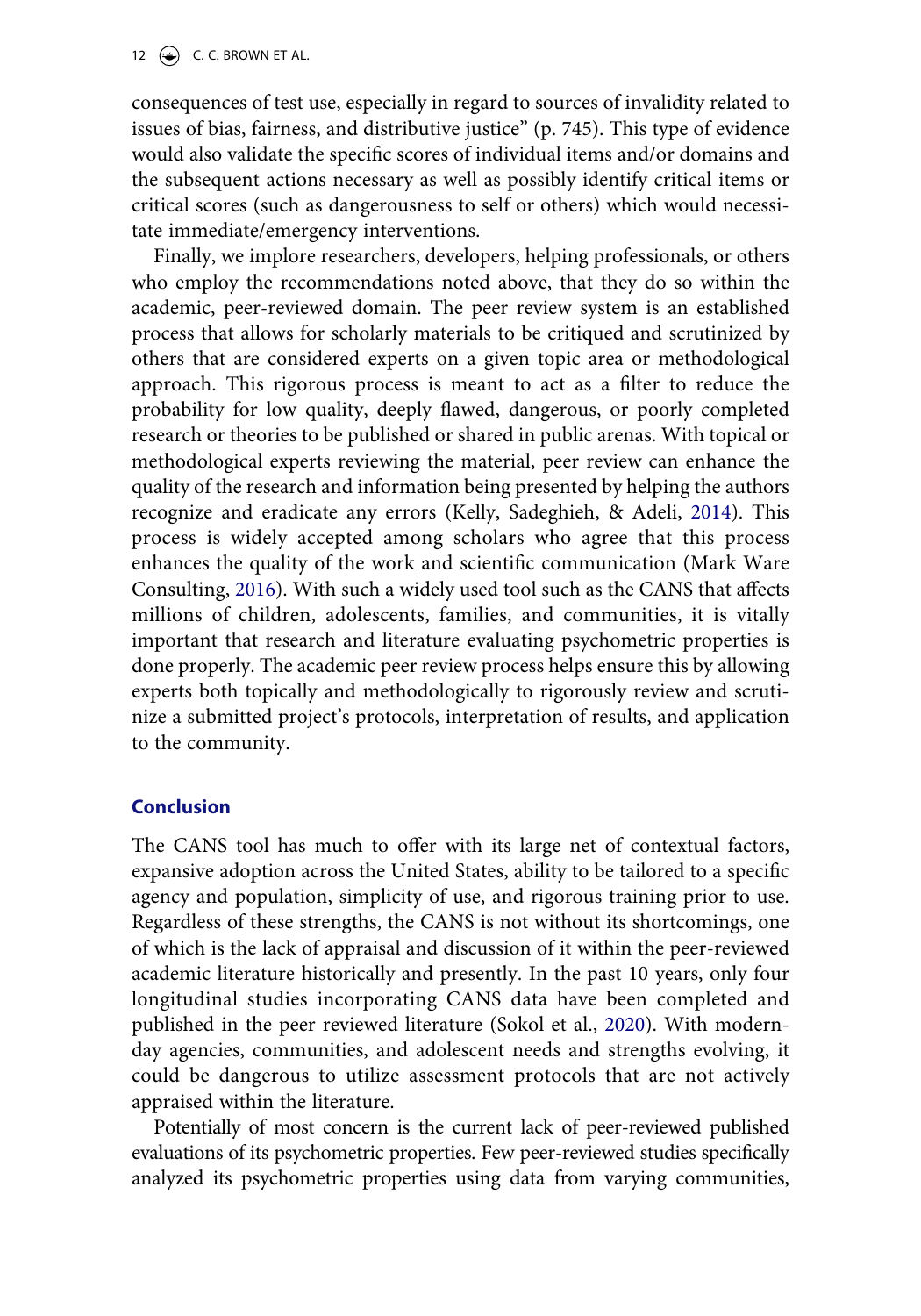12  $\left(\rightarrow\right)$  C. C. BROWN ET AL.

consequences of test use, especially in regard to sources of invalidity related to issues of bias, fairness, and distributive justice" (p. 745). This type of evidence would also validate the specific scores of individual items and/or domains and the subsequent actions necessary as well as possibly identify critical items or critical scores (such as dangerousness to self or others) which would necessitate immediate/emergency interventions.

<span id="page-12-0"></span>Finally, we implore researchers, developers, helping professionals, or others who employ the recommendations noted above, that they do so within the academic, peer-reviewed domain. The peer review system is an established process that allows for scholarly materials to be critiqued and scrutinized by others that are considered experts on a given topic area or methodological approach. This rigorous process is meant to act as a filter to reduce the probability for low quality, deeply flawed, dangerous, or poorly completed research or theories to be published or shared in public arenas. With topical or methodological experts reviewing the material, peer review can enhance the quality of the research and information being presented by helping the authors recognize and eradicate any errors (Kelly, Sadeghieh, & Adeli, [2014](#page-15-17)). This process is widely accepted among scholars who agree that this process enhances the quality of the work and scientific communication (Mark Ware Consulting, [2016\)](#page-15-18). With such a widely used tool such as the CANS that affects millions of children, adolescents, families, and communities, it is vitally important that research and literature evaluating psychometric properties is done properly. The academic peer review process helps ensure this by allowing experts both topically and methodologically to rigorously review and scrutinize a submitted project's protocols, interpretation of results, and application to the community.

## <span id="page-12-1"></span>**Conclusion**

The CANS tool has much to offer with its large net of contextual factors, expansive adoption across the United States, ability to be tailored to a specific agency and population, simplicity of use, and rigorous training prior to use. Regardless of these strengths, the CANS is not without its shortcomings, one of which is the lack of appraisal and discussion of it within the peer-reviewed academic literature historically and presently. In the past 10 years, only four longitudinal studies incorporating CANS data have been completed and published in the peer reviewed literature (Sokol et al., [2020\)](#page-16-13). With modernday agencies, communities, and adolescent needs and strengths evolving, it could be dangerous to utilize assessment protocols that are not actively appraised within the literature.

<span id="page-12-2"></span>Potentially of most concern is the current lack of peer-reviewed published evaluations of its psychometric properties. Few peer-reviewed studies specifically analyzed its psychometric properties using data from varying communities,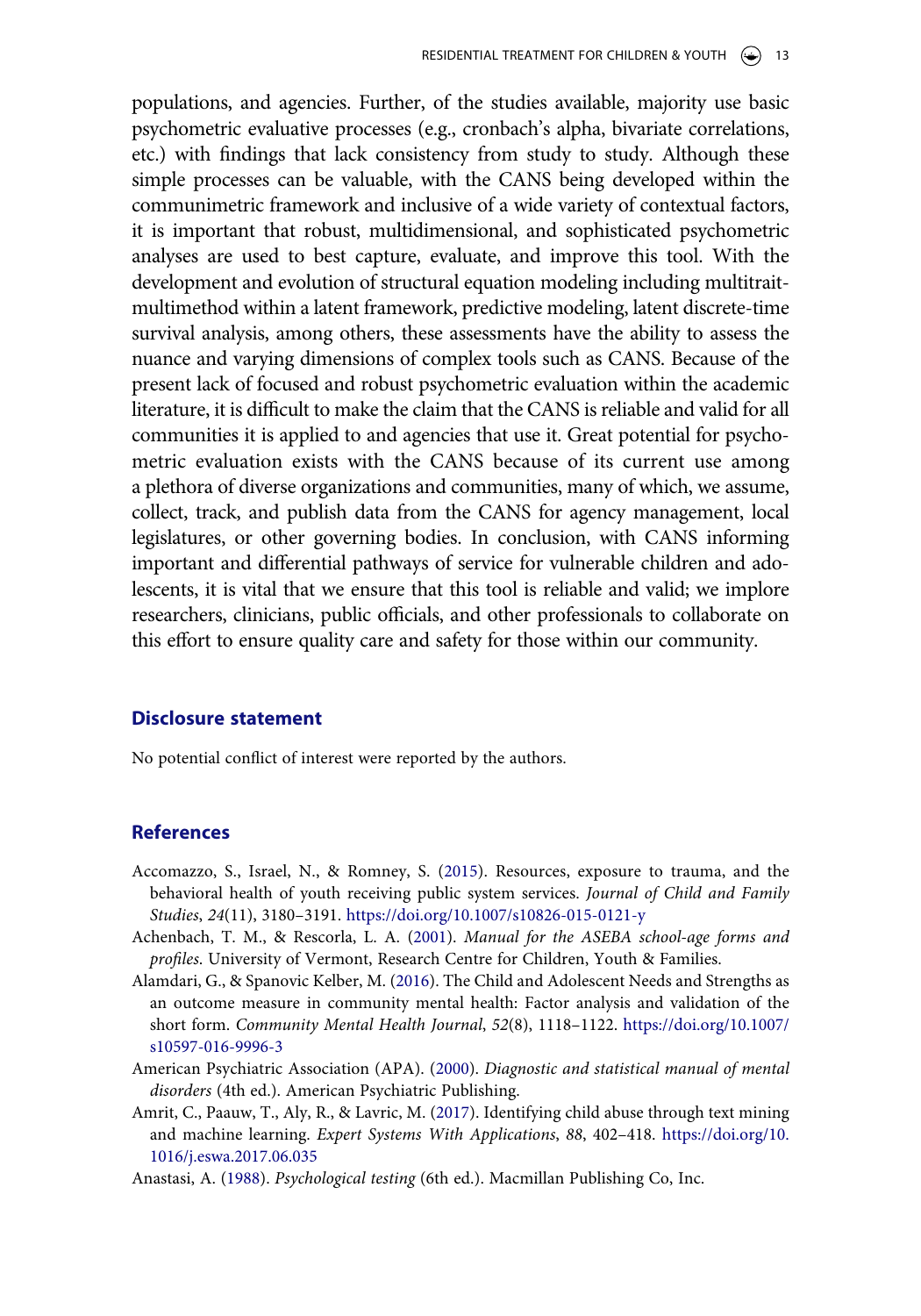populations, and agencies. Further, of the studies available, majority use basic psychometric evaluative processes (e.g., cronbach's alpha, bivariate correlations, etc.) with findings that lack consistency from study to study. Although these simple processes can be valuable, with the CANS being developed within the communimetric framework and inclusive of a wide variety of contextual factors, it is important that robust, multidimensional, and sophisticated psychometric analyses are used to best capture, evaluate, and improve this tool. With the development and evolution of structural equation modeling including multitraitmultimethod within a latent framework, predictive modeling, latent discrete-time survival analysis, among others, these assessments have the ability to assess the nuance and varying dimensions of complex tools such as CANS. Because of the present lack of focused and robust psychometric evaluation within the academic literature, it is difficult to make the claim that the CANS is reliable and valid for all communities it is applied to and agencies that use it. Great potential for psychometric evaluation exists with the CANS because of its current use among a plethora of diverse organizations and communities, many of which, we assume, collect, track, and publish data from the CANS for agency management, local legislatures, or other governing bodies. In conclusion, with CANS informing important and differential pathways of service for vulnerable children and adolescents, it is vital that we ensure that this tool is reliable and valid; we implore researchers, clinicians, public officials, and other professionals to collaborate on this effort to ensure quality care and safety for those within our community.

#### **Disclosure statement**

No potential conflict of interest were reported by the authors.

#### **References**

- <span id="page-13-1"></span>Accomazzo, S., Israel, N., & Romney, S. ([2015](#page-5-0)). Resources, exposure to trauma, and the behavioral health of youth receiving public system services. *Journal of Child and Family Studies*, *24*(11), 3180–3191. <https://doi.org/10.1007/s10826-015-0121-y>
- <span id="page-13-4"></span>Achenbach, T. M., & Rescorla, L. A. [\(2001](#page-9-0)). *Manual for the ASEBA school-age forms and profiles*. University of Vermont, Research Centre for Children, Youth & Families.
- <span id="page-13-3"></span>Alamdari, G., & Spanovic Kelber, M. ([2016\)](#page-8-0). The Child and Adolescent Needs and Strengths as an outcome measure in community mental health: Factor analysis and validation of the short form. *Community Mental Health Journal*, *52*(8), 1118–1122. [https://doi.org/10.1007/](https://doi.org/10.1007/s10597-016-9996-3)  [s10597-016-9996-3](https://doi.org/10.1007/s10597-016-9996-3)
- <span id="page-13-2"></span>American Psychiatric Association (APA). [\(2000\)](#page-8-1). *Diagnostic and statistical manual of mental disorders* (4th ed.). American Psychiatric Publishing.
- <span id="page-13-5"></span>Amrit, C., Paauw, T., Aly, R., & Lavric, M. ([2017\)](#page-11-0). Identifying child abuse through text mining and machine learning. *Expert Systems With Applications*, *88*, 402–418. [https://doi.org/10.](https://doi.org/10.1016/j.eswa.2017.06.035)  [1016/j.eswa.2017.06.035](https://doi.org/10.1016/j.eswa.2017.06.035)
- <span id="page-13-0"></span>Anastasi, A. [\(1988](#page-5-1)). *Psychological testing* (6th ed.). Macmillan Publishing Co, Inc.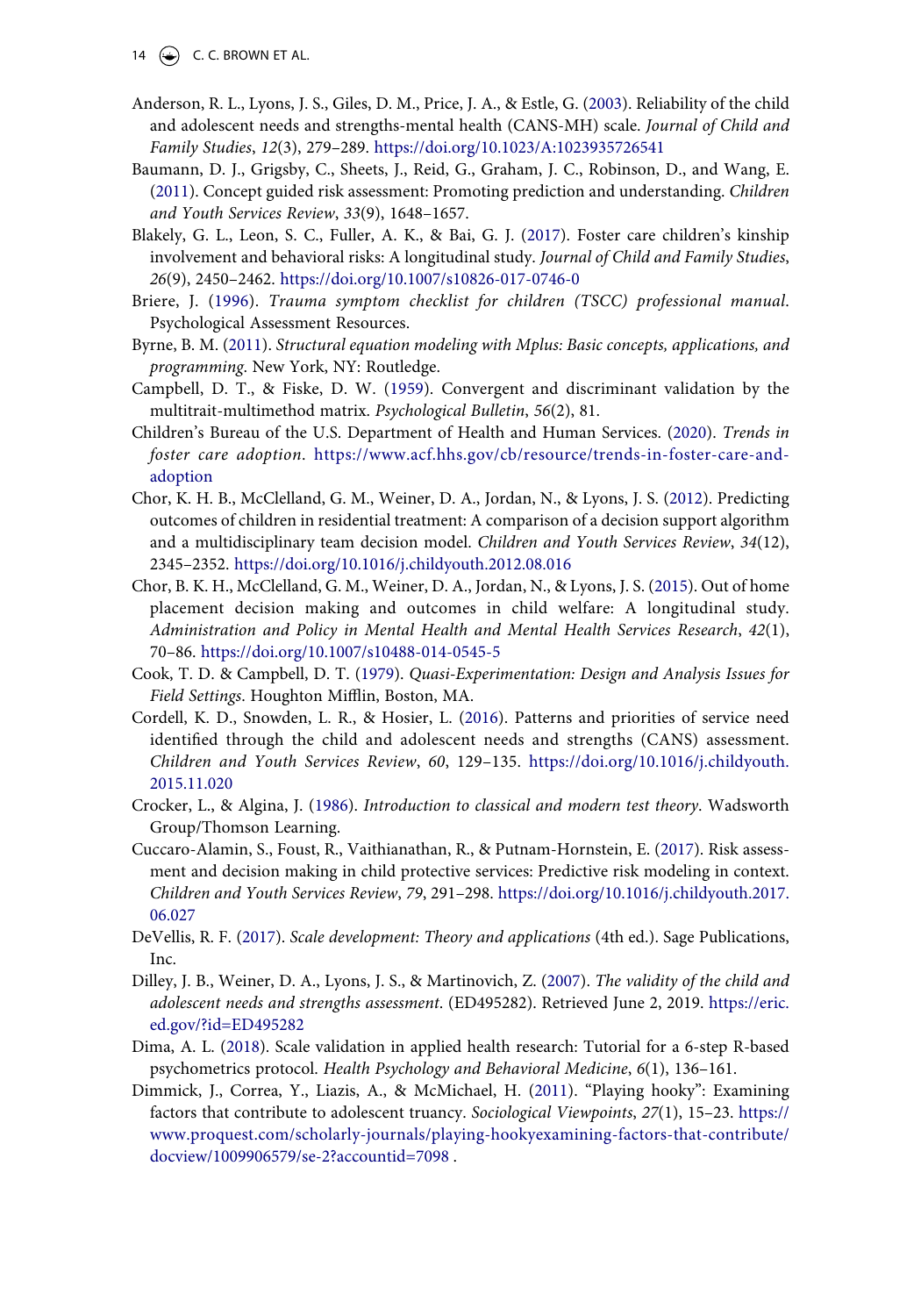- 14  $\left(\rightarrow\right)$  C. C. BROWN ET AL.
- <span id="page-14-5"></span>Anderson, R. L., Lyons, J. S., Giles, D. M., Price, J. A., & Estle, G. [\(2003](#page-5-2)). Reliability of the child and adolescent needs and strengths-mental health (CANS-MH) scale. *Journal of Child and Family Studies*, *12*(3), 279–289. <https://doi.org/10.1023/A:1023935726541>
- <span id="page-14-15"></span>Baumann, D. J., Grigsby, C., Sheets, J., Reid, G., Graham, J. C., Robinson, D., and Wang, E. [\(2011\)](#page-10-0). Concept guided risk assessment: Promoting prediction and understanding. *Children and Youth Services Review*, *33*(9), 1648–1657.
- <span id="page-14-3"></span>Blakely, G. L., Leon, S. C., Fuller, A. K., & Bai, G. J. [\(2017\)](#page-5-0). Foster care children's kinship involvement and behavioral risks: A longitudinal study. *Journal of Child and Family Studies*, *26*(9), 2450–2462. <https://doi.org/10.1007/s10826-017-0746-0>
- <span id="page-14-10"></span>Briere, J. [\(1996](#page-9-1)). *Trauma symptom checklist for children (TSCC) professional manual*. Psychological Assessment Resources.
- <span id="page-14-14"></span>Byrne, B. M. [\(2011](#page-10-1)). *Structural equation modeling with Mplus: Basic concepts, applications, and programming*. New York, NY: Routledge.
- <span id="page-14-13"></span>Campbell, D. T., & Fiske, D. W. [\(1959\)](#page-10-2). Convergent and discriminant validation by the multitrait-multimethod matrix. *Psychological Bulletin*, *56*(2), 81.
- <span id="page-14-0"></span>Children's Bureau of the U.S. Department of Health and Human Services. [\(2020\)](#page-2-0). *Trends in foster care adoption*. [https://www.acf.hhs.gov/cb/resource/trends-in-foster-care-and](https://www.acf.hhs.gov/cb/resource/trends-in-foster-care-and-adoption)[adoption](https://www.acf.hhs.gov/cb/resource/trends-in-foster-care-and-adoption)
- <span id="page-14-6"></span>Chor, K. H. B., McClelland, G. M., Weiner, D. A., Jordan, N., & Lyons, J. S. [\(2012\)](#page-8-2). Predicting outcomes of children in residential treatment: A comparison of a decision support algorithm and a multidisciplinary team decision model. *Children and Youth Services Review*, *34*(12), 2345–2352. <https://doi.org/10.1016/j.childyouth.2012.08.016>
- <span id="page-14-7"></span>Chor, B. K. H., McClelland, G. M., Weiner, D. A., Jordan, N., & Lyons, J. S. [\(2015](#page-8-3)). Out of home placement decision making and outcomes in child welfare: A longitudinal study. *Administration and Policy in Mental Health and Mental Health Services Research*, *42*(1), 70–86. <https://doi.org/10.1007/s10488-014-0545-5>
- <span id="page-14-11"></span>Cook, T. D. & Campbell, D. T. [\(1979\)](#page-10-3). *Quasi-Experimentation: Design and Analysis Issues for Field Settings*. Houghton Mifflin, Boston, MA.
- <span id="page-14-4"></span>Cordell, K. D., Snowden, L. R., & Hosier, L. [\(2016\)](#page-5-3). Patterns and priorities of service need identified through the child and adolescent needs and strengths (CANS) assessment. *Children and Youth Services Review*, *60*, 129–135. [https://doi.org/10.1016/j.childyouth.](https://doi.org/10.1016/j.childyouth.2015.11.020) [2015.11.020](https://doi.org/10.1016/j.childyouth.2015.11.020)
- <span id="page-14-2"></span>Crocker, L., & Algina, J. [\(1986](#page-5-4)). *Introduction to classical and modern test theory*. Wadsworth Group/Thomson Learning.
- <span id="page-14-16"></span>Cuccaro-Alamin, S., Foust, R., Vaithianathan, R., & Putnam-Hornstein, E. [\(2017\)](#page-10-4). Risk assessment and decision making in child protective services: Predictive risk modeling in context. *Children and Youth Services Review*, *79*, 291–298. [https://doi.org/10.1016/j.childyouth.2017.](https://doi.org/10.1016/j.childyouth.2017.06.027) [06.027](https://doi.org/10.1016/j.childyouth.2017.06.027)
- <span id="page-14-1"></span>DeVellis, R. F. ([2017\)](#page-4-0). *Scale development: Theory and applications* (4th ed.). Sage Publications, Inc.
- <span id="page-14-9"></span>Dilley, J. B., Weiner, D. A., Lyons, J. S., & Martinovich, Z. [\(2007\)](#page-8-4). *The validity of the child and adolescent needs and strengths assessment*. (ED495282). Retrieved June 2, 2019. [https://eric.](https://eric.ed.gov/?id=ED495282)  [ed.gov/?id=ED495282](https://eric.ed.gov/?id=ED495282)
- <span id="page-14-12"></span>Dima, A. L. ([2018](#page-10-5)). Scale validation in applied health research: Tutorial for a 6-step R-based psychometrics protocol. *Health Psychology and Behavioral Medicine*, *6*(1), 136–161.
- <span id="page-14-8"></span>Dimmick, J., Correa, Y., Liazis, A., & McMichael, H. ([2011\)](#page-8-5). "Playing hooky": Examining factors that contribute to adolescent truancy. *Sociological Viewpoints*, *27*(1), 15–23. [https://](https://www.proquest.com/scholarly-journals/playing-hookyexamining-factors-that-contribute/docview/1009906579/se-2?accountid=7098) [www.proquest.com/scholarly-journals/playing-hookyexamining-factors-that-contribute/](https://www.proquest.com/scholarly-journals/playing-hookyexamining-factors-that-contribute/docview/1009906579/se-2?accountid=7098) [docview/1009906579/se-2?accountid=7098](https://www.proquest.com/scholarly-journals/playing-hookyexamining-factors-that-contribute/docview/1009906579/se-2?accountid=7098) .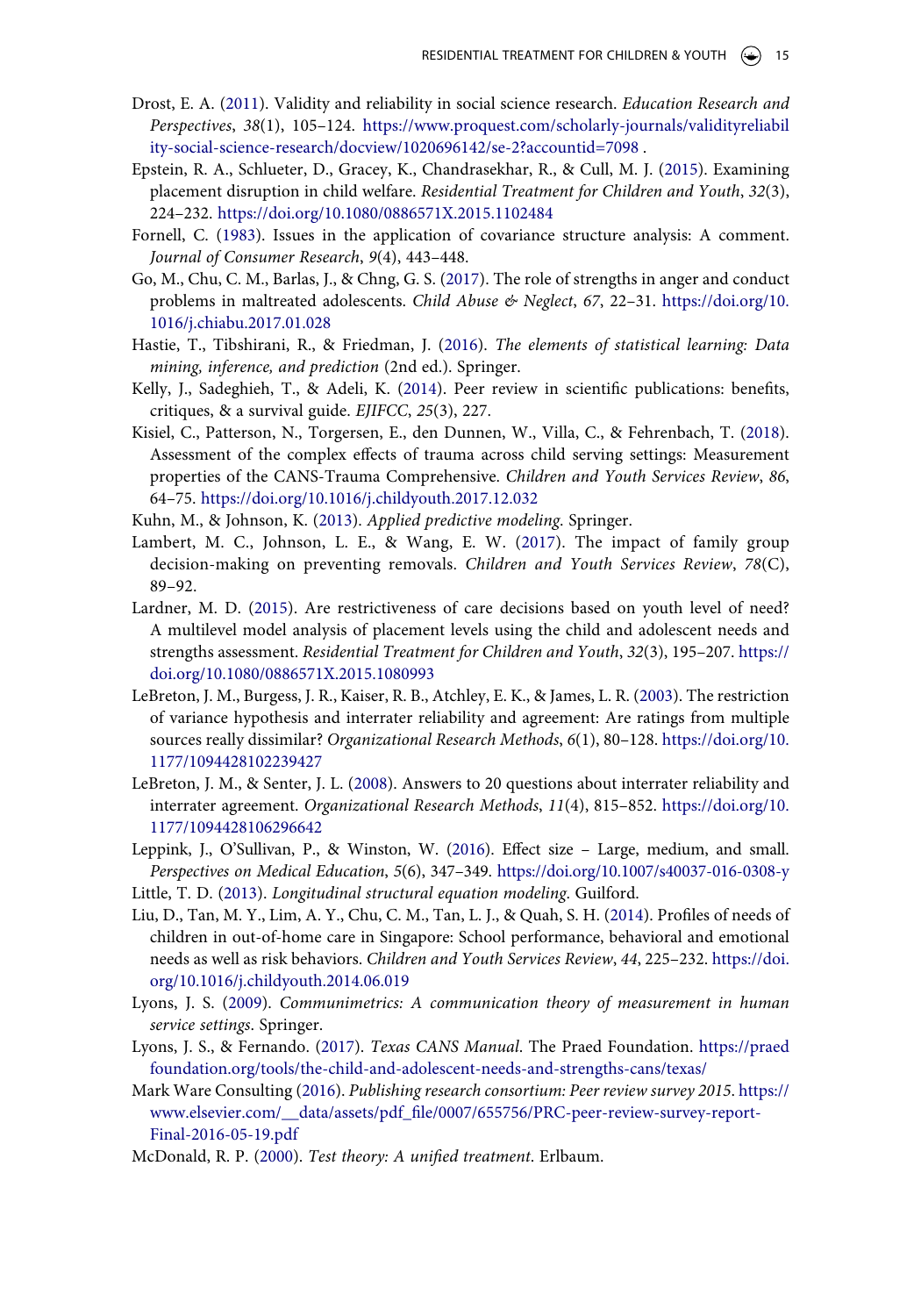- <span id="page-15-8"></span>Drost, E. A. ([2011\)](#page-6-0). Validity and reliability in social science research. *Education Research and Perspectives*, *38*(1), 105–124. [https://www.proquest.com/scholarly-journals/validityreliabil](https://www.proquest.com/scholarly-journals/validityreliability-social-science-research/docview/1020696142/se-2?accountid=7098)  [ity-social-science-research/docview/1020696142/se-2?accountid=7098](https://www.proquest.com/scholarly-journals/validityreliability-social-science-research/docview/1020696142/se-2?accountid=7098) .
- <span id="page-15-10"></span>Epstein, R. A., Schlueter, D., Gracey, K., Chandrasekhar, R., & Cull, M. J. ([2015\)](#page-8-6). Examining placement disruption in child welfare. *Residential Treatment for Children and Youth*, *32*(3), 224–232. <https://doi.org/10.1080/0886571X.2015.1102484>
- <span id="page-15-13"></span>Fornell, C. ([1983\)](#page-10-3). Issues in the application of covariance structure analysis: A comment. *Journal of Consumer Research*, *9*(4), 443–448.
- <span id="page-15-3"></span>Go, M., Chu, C. M., Barlas, J., & Chng, G. S. [\(2017](#page-5-5)). The role of strengths in anger and conduct problems in maltreated adolescents. *Child Abuse & Neglect*, *67*, 22–31. [https://doi.org/10.](https://doi.org/10.1016/j.chiabu.2017.01.028)  [1016/j.chiabu.2017.01.028](https://doi.org/10.1016/j.chiabu.2017.01.028)
- <span id="page-15-16"></span>Hastie, T., Tibshirani, R., & Friedman, J. [\(2016](#page-11-1)). *The elements of statistical learning: Data mining, inference, and prediction* (2nd ed.). Springer.
- <span id="page-15-17"></span>Kelly, J., Sadeghieh, T., & Adeli, K. ([2014](#page-12-0)). Peer review in scientific publications: benefits, critiques, & a survival guide. *EJIFCC*, *25*(3), 227.
- <span id="page-15-4"></span>Kisiel, C., Patterson, N., Torgersen, E., den Dunnen, W., Villa, C., & Fehrenbach, T. [\(2018\)](#page-5-6). Assessment of the complex effects of trauma across child serving settings: Measurement properties of the CANS-Trauma Comprehensive. *Children and Youth Services Review*, *86*, 64–75. <https://doi.org/10.1016/j.childyouth.2017.12.032>
- <span id="page-15-15"></span>Kuhn, M., & Johnson, K. ([2013\)](#page-11-2). *Applied predictive modeling*. Springer.
- <span id="page-15-14"></span>Lambert, M. C., Johnson, L. E., & Wang, E. W. [\(2017\)](#page-10-6). The impact of family group decision-making on preventing removals. *Children and Youth Services Review*, *78*(C), 89–92.
- <span id="page-15-9"></span>Lardner, M. D. [\(2015](#page-8-3)). Are restrictiveness of care decisions based on youth level of need? A multilevel model analysis of placement levels using the child and adolescent needs and strengths assessment. *Residential Treatment for Children and Youth*, *32*(3), 195–207. [https://](https://doi.org/10.1080/0886571X.2015.1080993) [doi.org/10.1080/0886571X.2015.1080993](https://doi.org/10.1080/0886571X.2015.1080993)
- <span id="page-15-5"></span>LeBreton, J. M., Burgess, J. R., Kaiser, R. B., Atchley, E. K., & James, L. R. ([2003](#page-5-7)). The restriction of variance hypothesis and interrater reliability and agreement: Are ratings from multiple sources really dissimilar? *Organizational Research Methods*, *6*(1), 80–128. [https://doi.org/10.](https://doi.org/10.1177/1094428102239427)  [1177/1094428102239427](https://doi.org/10.1177/1094428102239427)
- <span id="page-15-7"></span>LeBreton, J. M., & Senter, J. L. ([2008\)](#page-6-1). Answers to 20 questions about interrater reliability and interrater agreement. *Organizational Research Methods*, *11*(4), 815–852. [https://doi.org/10.](https://doi.org/10.1177/1094428106296642)  [1177/1094428106296642](https://doi.org/10.1177/1094428106296642)
- <span id="page-15-11"></span>Leppink, J., O'Sullivan, P., & Winston, W. [\(2016](#page-9-2)). Effect size – Large, medium, and small. *Perspectives on Medical Education*, *5*(6), 347–349. <https://doi.org/10.1007/s40037-016-0308-y>
- <span id="page-15-12"></span>Little, T. D. ([2013\)](#page-9-3). *Longitudinal structural equation modeling*. Guilford.
- <span id="page-15-6"></span>Liu, D., Tan, M. Y., Lim, A. Y., Chu, C. M., Tan, L. J., & Quah, S. H. ([2014](#page-5-8)). Profiles of needs of children in out-of-home care in Singapore: School performance, behavioral and emotional needs as well as risk behaviors. *Children and Youth Services Review*, *44*, 225–232. [https://doi.](https://doi.org/10.1016/j.childyouth.2014.06.019) [org/10.1016/j.childyouth.2014.06.019](https://doi.org/10.1016/j.childyouth.2014.06.019)
- <span id="page-15-0"></span>Lyons, J. S. ([2009](#page-3-0)). *Communimetrics: A communication theory of measurement in human service settings*. Springer.
- <span id="page-15-1"></span>Lyons, J. S., & Fernando. ([2017\)](#page-4-1). *Texas CANS Manual*. The Praed Foundation. [https://praed](https://praedfoundation.org/tools/the-child-and-adolescent-needs-and-strengths-cans/texas/) [foundation.org/tools/the-child-and-adolescent-needs-and-strengths-cans/texas/](https://praedfoundation.org/tools/the-child-and-adolescent-needs-and-strengths-cans/texas/)
- <span id="page-15-18"></span>Mark Ware Consulting [\(2016](#page-12-1)). *Publishing research consortium: Peer review survey 2015*. [https://](https://www.elsevier.com/__data/assets/pdf_file/0007/655756/PRC-peer-review-survey-report-Final-2016-05-19.pdf) [www.elsevier.com/\\_\\_data/assets/pdf\\_file/0007/655756/PRC-peer-review-survey-report-](https://www.elsevier.com/__data/assets/pdf_file/0007/655756/PRC-peer-review-survey-report-Final-2016-05-19.pdf)[Final-2016-05-19.pdf](https://www.elsevier.com/__data/assets/pdf_file/0007/655756/PRC-peer-review-survey-report-Final-2016-05-19.pdf)
- <span id="page-15-2"></span>McDonald, R. P. [\(2000](#page-5-4)). *Test theory: A unified treatment*. Erlbaum.